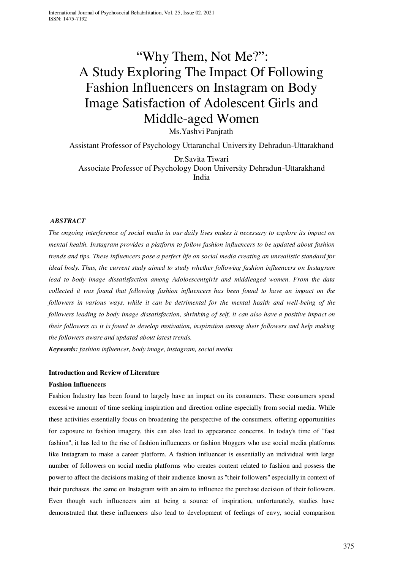# "Why Them, Not Me?": A Study Exploring The Impact Of Following Fashion Influencers on Instagram on Body Image Satisfaction of Adolescent Girls and Middle-aged Women

Ms.Yashvi Panjrath

Assistant Professor of Psychology Uttaranchal University Dehradun-Uttarakhand

Dr.Savita Tiwari

Associate Professor of Psychology Doon University Dehradun-Uttarakhand India

# *ABSTRACT*

*The ongoing interference of social media in our daily lives makes it necessary to explore its impact on mental health. Instagram provides a platform to follow fashion influencers to be updated about fashion trends and tips. These influencers pose a perfect life on social media creating an unrealistic standard for ideal body. Thus, the current study aimed to study whether following fashion influencers on Instagram lead to body image dissatisfaction among Adoloescentgirls and middleaged women. From the data collected it was found that following fashion influencers has been found to have an impact on the followers in various ways, while it can be detrimental for the mental health and well-being of the followers leading to body image dissatisfaction, shrinking of self, it can also have a positive impact on their followers as it is found to develop motivation, inspiration among their followers and help making the followers aware and updated about latest trends.* 

*Keywords: fashion influencer, body image, instagram, social media* 

# **Introduction and Review of Literature**

# **Fashion Influencers**

Fashion Industry has been found to largely have an impact on its consumers. These consumers spend excessive amount of time seeking inspiration and direction online especially from social media. While these activities essentially focus on broadening the perspective of the consumers, offering opportunities for exposure to fashion imagery, this can also lead to appearance concerns. In today's time of "fast fashion", it has led to the rise of fashion influencers or fashion bloggers who use social media platforms like Instagram to make a career platform. A fashion influencer is essentially an individual with large number of followers on social media platforms who creates content related to fashion and possess the power to affect the decisions making of their audience known as "their followers" especially in context of their purchases. the same on Instagram with an aim to influence the purchase decision of their followers. Even though such influencers aim at being a source of inspiration, unfortunately, studies have demonstrated that these influencers also lead to development of feelings of envy, social comparison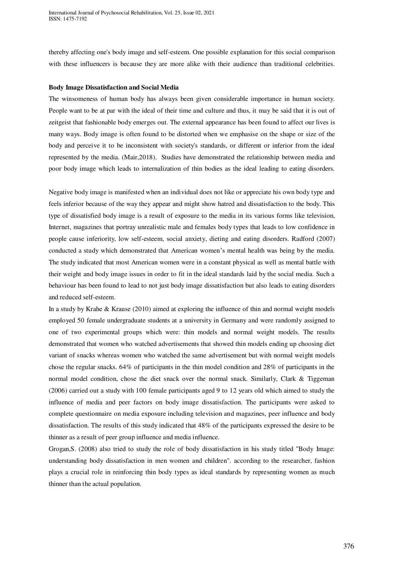thereby affecting one's body image and self-esteem. One possible explanation for this social comparison with these influencers is because they are more alike with their audience than traditional celebrities.

#### **Body Image Dissatisfaction and Social Media**

The winsomeness of human body has always been given considerable importance in human society. People want to be at par with the ideal of their time and culture and thus, it may be said that it is out of zeitgeist that fashionable body emerges out. The external appearance has been found to affect our lives is many ways. Body image is often found to be distorted when we emphasise on the shape or size of the body and perceive it to be inconsistent with society's standards, or different or inferior from the ideal represented by the media. (Mair,2018). Studies have demonstrated the relationship between media and poor body image which leads to internalization of thin bodies as the ideal leading to eating disorders.

Negative body image is manifested when an individual does not like or appreciate his own body type and feels inferior because of the way they appear and might show hatred and dissatisfaction to the body. This type of dissatisfied body image is a result of exposure to the media in its various forms like television, Internet, magazines that portray unrealistic male and females body types that leads to low confidence in people cause inferiority, low self-esteem, social anxiety, dieting and eating disorders. Radford (2007) conducted a study which demonstrated that American women's mental health was being by the media. The study indicated that most American women were in a constant physical as well as mental battle with their weight and body image issues in order to fit in the ideal standards laid by the social media. Such a behaviour has been found to lead to not just body image dissatisfaction but also leads to eating disorders and reduced self-esteem.

In a study by Krahe & Krause (2010) aimed at exploring the influence of thin and normal weight models employed 50 female undergraduate students at a university in Germany and were randomly assigned to one of two experimental groups which were: thin models and normal weight models. The results demonstrated that women who watched advertisements that showed thin models ending up choosing diet variant of snacks whereas women who watched the same advertisement but with normal weight models chose the regular snacks. 64% of participants in the thin model condition and 28% of participants in the normal model condition, chose the diet snack over the normal snack. Similarly, Clark & Tiggeman (2006) carried out a study with 100 female participants aged 9 to 12 years old which aimed to study the influence of media and peer factors on body image dissatisfaction. The participants were asked to complete questionnaire on media exposure including television and magazines, peer influence and body dissatisfaction. The results of this study indicated that 48% of the participants expressed the desire to be thinner as a result of peer group influence and media influence.

Grogan,S. (2008) also tried to study the role of body dissatisfaction in his study titled "Body Image: understanding body dissatisfaction in men women and children". according to the researcher, fashion plays a crucial role in reinforcing thin body types as ideal standards by representing women as much thinner than the actual population.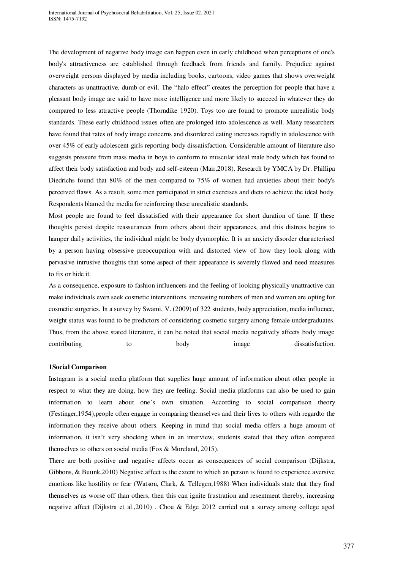The development of negative body image can happen even in early childhood when perceptions of one's body's attractiveness are established through feedback from friends and family. Prejudice against overweight persons displayed by media including books, cartoons, video games that shows overweight characters as unattractive, dumb or evil. The "halo effect" creates the perception for people that have a pleasant body image are said to have more intelligence and more likely to succeed in whatever they do compared to less attractive people (Thorndike 1920). Toys too are found to promote unrealistic body standards. These early childhood issues often are prolonged into adolescence as well. Many researchers have found that rates of body image concerns and disordered eating increases rapidly in adolescence with over 45% of early adolescent girls reporting body dissatisfaction. Considerable amount of literature also suggests pressure from mass media in boys to conform to muscular ideal male body which has found to affect their body satisfaction and body and self-esteem (Mair,2018). Research by YMCA by Dr. Phillipa Diedrichs found that 80% of the men compared to 75% of women had anxieties about their body's perceived flaws. As a result, some men participated in strict exercises and diets to achieve the ideal body. Respondents blamed the media for reinforcing these unrealistic standards.

Most people are found to feel dissatisfied with their appearance for short duration of time. If these thoughts persist despite reassurances from others about their appearances, and this distress begins to hamper daily activities, the individual might be body dysmorphic. It is an anxiety disorder characterised by a person having obsessive preoccupation with and distorted view of how they look along with pervasive intrusive thoughts that some aspect of their appearance is severely flawed and need measures to fix or hide it.

As a consequence, exposure to fashion influencers and the feeling of looking physically unattractive can make individuals even seek cosmetic interventions. increasing numbers of men and women are opting for cosmetic surgeries. In a survey by Swami, V. (2009) of 322 students, body appreciation, media influence, weight status was found to be predictors of considering cosmetic surgery among female undergraduates. Thus, from the above stated literature, it can be noted that social media negatively affects body image contributing to body image dissatisfaction.

#### **1Social Comparison**

Instagram is a social media platform that supplies huge amount of information about other people in respect to what they are doing, how they are feeling. Social media platforms can also be used to gain information to learn about one's own situation. According to social comparison theory (Festinger,1954),people often engage in comparing themselves and their lives to others with regardto the information they receive about others. Keeping in mind that social media offers a huge amount of information, it isn't very shocking when in an interview, students stated that they often compared themselves to others on social media (Fox & Moreland, 2015).

There are both positive and negative affects occur as consequences of social comparison (Dijkstra, Gibbons, & Buunk,2010) Negative affect is the extent to which an person is found to experience aversive emotions like hostility or fear (Watson, Clark, & Tellegen,1988) When individuals state that they find themselves as worse off than others, then this can ignite frustration and resentment thereby, increasing negative affect (Dijkstra et al.,2010) . Chou & Edge 2012 carried out a survey among college aged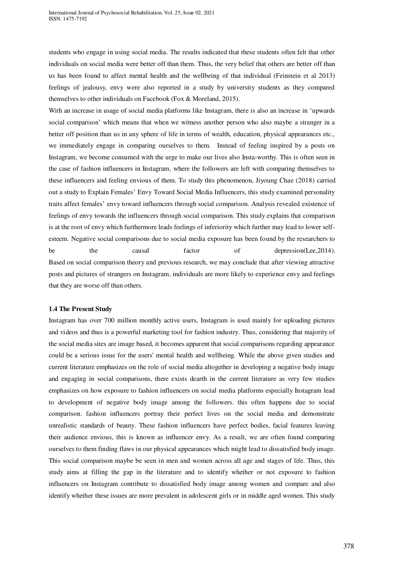students who engage in using social media. The results indicated that these students often felt that other individuals on social media were better off than them. Thus, the very belief that others are better off than us has been found to affect mental health and the wellbeing of that individual (Feinstein et al 2013) feelings of jealousy, envy were also reported in a study by university students as they compared themselves to other individuals on Facebook (Fox & Moreland, 2015).

With an increase in usage of social media platforms like Instagram, there is also an increase in 'upwards social comparison' which means that when we witness another person who also maybe a stranger in a better off position than us in any sphere of life in terms of wealth, education, physical appearances etc., we immediately engage in comparing ourselves to them. Instead of feeling inspired by a posts on Instagram, we become consumed with the urge to make our lives also Insta-worthy. This is often seen in the case of fashion influencers in Instagram, where the followers are left with comparing themselves to these influencers and feeling envious of them. To study this phenomenon, Jiyoung Chae (2018) carried out a study to Explain Females' Envy Toward Social Media Influencers, this study examined personality traits affect females' envy toward influencers through social comparison. Analysis revealed existence of feelings of envy towards the influencers through social comparison. This study explains that comparison is at the root of envy which furthermore leads feelings of inferiority which further may lead to lower selfesteem. Negative social comparisons due to social media exposure has been found by the researchers to be the causal factor of depression(Lee, 2014). Based on social comparison theory and previous research, we may conclude that after viewing attractive posts and pictures of strangers on Instagram, individuals are more likely to experience envy and feelings that they are worse off than others.

#### **1.4 The Present Study**

Instagram has over 700 million monthly active users, Instagram is used mainly for uploading pictures and videos and thus is a powerful marketing tool for fashion industry. Thus, considering that majority of the social media sites are image based, it becomes apparent that social comparisons regarding appearance could be a serious issue for the users' mental health and wellbeing. While the above given studies and current literature emphasizes on the role of social media altogether in developing a negative body image and engaging in social comparisons, there exists dearth in the current literature as very few studies emphasizes on how exposure to fashion influencers on social media platforms especially Instagram lead to development of negative body image among the followers. this often happens due to social comparison. fashion influencers portray their perfect lives on the social media and demonstrate unrealistic standards of beauty. These fashion influencers have perfect bodies, facial features leaving their audience envious, this is known as influencer envy. As a result, we are often found comparing ourselves to them finding flaws in our physical appearances which might lead to dissatisfied body image. This social comparison maybe be seen in men and women across all age and stages of life. Thus, this study aims at filling the gap in the literature and to identify whether or not exposure to fashion influencers on Instagram contribute to dissatisfied body image among women and compare and also identify whether these issues are more prevalent in adolescent girls or in middle aged women. This study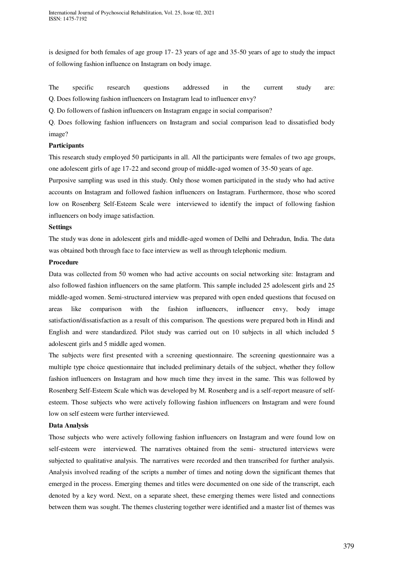is designed for both females of age group 17- 23 years of age and 35-50 years of age to study the impact of following fashion influence on Instagram on body image.

The specific research questions addressed in the current study are: Q. Does following fashion influencers on Instagram lead to influencer envy?

Q. Do followers of fashion influencers on Instagram engage in social comparison?

Q. Does following fashion influencers on Instagram and social comparison lead to dissatisfied body image?

# **Participants**

This research study employed 50 participants in all. All the participants were females of two age groups, one adolescent girls of age 17-22 and second group of middle-aged women of 35-50 years of age.

Purposive sampling was used in this study. Only those women participated in the study who had active accounts on Instagram and followed fashion influencers on Instagram. Furthermore, those who scored low on Rosenberg Self-Esteem Scale were interviewed to identify the impact of following fashion influencers on body image satisfaction.

#### **Settings**

The study was done in adolescent girls and middle-aged women of Delhi and Dehradun, India. The data was obtained both through face to face interview as well as through telephonic medium.

# **Procedure**

Data was collected from 50 women who had active accounts on social networking site: Instagram and also followed fashion influencers on the same platform. This sample included 25 adolescent girls and 25 middle-aged women. Semi-structured interview was prepared with open ended questions that focused on areas like comparison with the fashion influencers, influencer envy, body image satisfaction/dissatisfaction as a result of this comparison. The questions were prepared both in Hindi and English and were standardized. Pilot study was carried out on 10 subjects in all which included 5 adolescent girls and 5 middle aged women.

The subjects were first presented with a screening questionnaire. The screening questionnaire was a multiple type choice questionnaire that included preliminary details of the subject, whether they follow fashion influencers on Instagram and how much time they invest in the same. This was followed by Rosenberg Self-Esteem Scale which was developed by M. Rosenberg and is a self-report measure of selfesteem. Those subjects who were actively following fashion influencers on Instagram and were found low on self esteem were further interviewed.

# **Data Analysis**

Those subjects who were actively following fashion influencers on Instagram and were found low on self-esteem were interviewed. The narratives obtained from the semi- structured interviews were subjected to qualitative analysis. The narratives were recorded and then transcribed for further analysis. Analysis involved reading of the scripts a number of times and noting down the significant themes that emerged in the process. Emerging themes and titles were documented on one side of the transcript, each denoted by a key word. Next, on a separate sheet, these emerging themes were listed and connections between them was sought. The themes clustering together were identified and a master list of themes was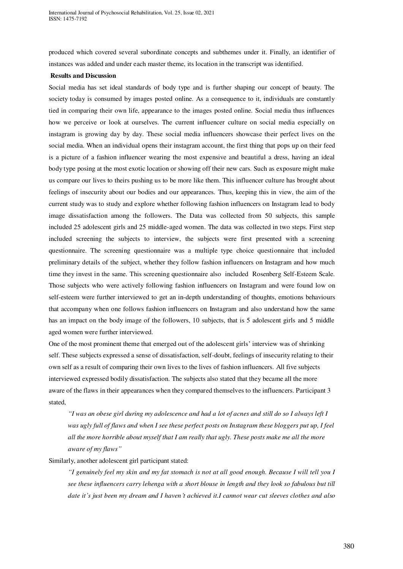produced which covered several subordinate concepts and subthemes under it. Finally, an identifier of instances was added and under each master theme, its location in the transcript was identified.

#### **Results and Discussion**

Social media has set ideal standards of body type and is further shaping our concept of beauty. The society today is consumed by images posted online. As a consequence to it, individuals are constantly tied in comparing their own life, appearance to the images posted online. Social media thus influences how we perceive or look at ourselves. The current influencer culture on social media especially on instagram is growing day by day. These social media influencers showcase their perfect lives on the social media. When an individual opens their instagram account, the first thing that pops up on their feed is a picture of a fashion influencer wearing the most expensive and beautiful a dress, having an ideal body type posing at the most exotic location or showing off their new cars. Such as exposure might make us compare our lives to theirs pushing us to be more like them. This influencer culture has brought about feelings of insecurity about our bodies and our appearances. Thus, keeping this in view, the aim of the current study was to study and explore whether following fashion influencers on Instagram lead to body image dissatisfaction among the followers. The Data was collected from 50 subjects, this sample included 25 adolescent girls and 25 middle-aged women. The data was collected in two steps. First step included screening the subjects to interview, the subjects were first presented with a screening questionnaire. The screening questionnaire was a multiple type choice questionnaire that included preliminary details of the subject, whether they follow fashion influencers on Instagram and how much time they invest in the same. This screening questionnaire also included Rosenberg Self-Esteem Scale. Those subjects who were actively following fashion influencers on Instagram and were found low on self-esteem were further interviewed to get an in-depth understanding of thoughts, emotions behaviours that accompany when one follows fashion influencers on Instagram and also understand how the same has an impact on the body image of the followers, 10 subjects, that is 5 adolescent girls and 5 middle aged women were further interviewed.

One of the most prominent theme that emerged out of the adolescent girls' interview was of shrinking self. These subjects expressed a sense of dissatisfaction, self-doubt, feelings of insecurity relating to their own self as a result of comparing their own lives to the lives of fashion influencers. All five subjects interviewed expressed bodily dissatisfaction. The subjects also stated that they became all the more aware of the flaws in their appearances when they compared themselves to the influencers. Participant 3 stated,

*"I was an obese girl during my adolescence and had a lot of acnes and still do so I always left I was ugly full of flaws and when I see these perfect posts on Instagram these bloggers put up, I feel all the more horrible about myself that I am really that ugly. These posts make me all the more aware of my flaws"*

Similarly, another adolescent girl participant stated:

*"I genuinely feel my skin and my fat stomach is not at all good enough. Because I will tell you I see these influencers carry lehenga with a short blouse in length and they look so fabulous but till date it's just been my dream and I haven't achieved it.I cannot wear cut sleeves clothes and also*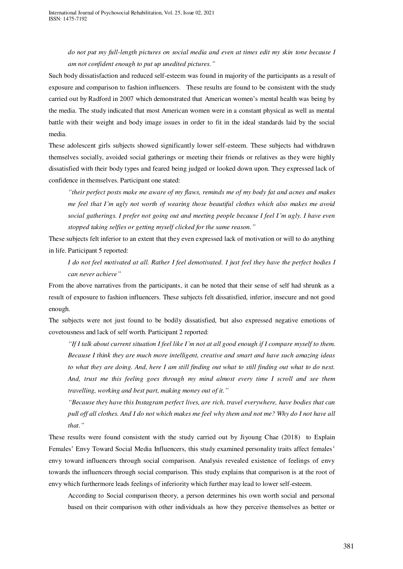*do not put my full-length pictures on social media and even at times edit my skin tone because I am not confident enough to put up unedited pictures."*

Such body dissatisfaction and reduced self-esteem was found in majority of the participants as a result of exposure and comparison to fashion influencers. These results are found to be consistent with the study carried out by Radford in 2007 which demonstrated that American women's mental health was being by the media. The study indicated that most American women were in a constant physical as well as mental battle with their weight and body image issues in order to fit in the ideal standards laid by the social media.

These adolescent girls subjects showed significantly lower self-esteem. These subjects had withdrawn themselves socially, avoided social gatherings or meeting their friends or relatives as they were highly dissatisfied with their body types and feared being judged or looked down upon. They expressed lack of confidence in themselves. Participant one stated:

*"their perfect posts make me aware of my flaws, reminds me of my body fat and acnes and makes me feel that I'm ugly not worth of wearing those beautiful clothes which also makes me avoid social gatherings. I prefer not going out and meeting people because I feel I'm ugly. I have even stopped taking selfies or getting myself clicked for the same reason."*

These subjects felt inferior to an extent that they even expressed lack of motivation or will to do anything in life. Participant 5 reported:

*I do not feel motivated at all. Rather I feel demotivated. I just feel they have the perfect bodies I can never achieve"*

From the above narratives from the participants, it can be noted that their sense of self had shrunk as a result of exposure to fashion influencers. These subjects felt dissatisfied, inferior, insecure and not good enough.

The subjects were not just found to be bodily dissatisfied, but also expressed negative emotions of covetousness and lack of self worth. Participant 2 reported:

*"If I talk about current situation I feel like I'm not at all good enough if I compare myself to them. Because I think they are much more intelligent, creative and smart and have such amazing ideas to what they are doing. And, here I am still finding out what to still finding out what to do next. And, trust me this feeling goes through my mind almost every time I scroll and see them travelling, working and best part, making money out of it."*

*"Because they have this Instagram perfect lives, are rich, travel everywhere, have bodies that can pull off all clothes. And I do not which makes me feel why them and not me? Why do I not have all that."*

These results were found consistent with the study carried out by Jiyoung Chae (2018) to Explain Females' Envy Toward Social Media Influencers, this study examined personality traits affect females' envy toward influencers through social comparison. Analysis revealed existence of feelings of envy towards the influencers through social comparison. This study explains that comparison is at the root of envy which furthermore leads feelings of inferiority which further may lead to lower self-esteem.

According to Social comparison theory, a person determines his own worth social and personal based on their comparison with other individuals as how they perceive themselves as better or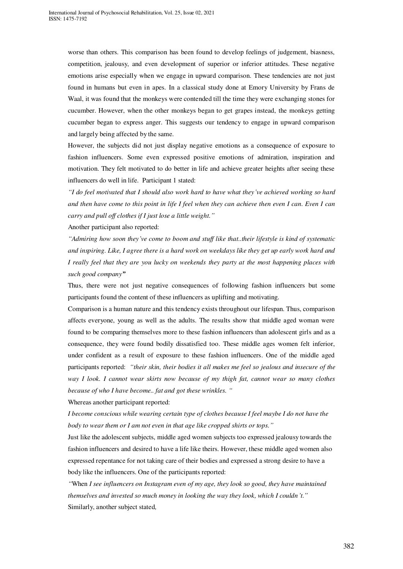worse than others. This comparison has been found to develop feelings of judgement, biasness, competition, jealousy, and even development of superior or inferior attitudes. These negative emotions arise especially when we engage in upward comparison. These tendencies are not just found in humans but even in apes. In a classical study done at Emory University by Frans de Waal, it was found that the monkeys were contended till the time they were exchanging stones for cucumber. However, when the other monkeys began to get grapes instead, the monkeys getting cucumber began to express anger. This suggests our tendency to engage in upward comparison and largely being affected by the same.

However, the subjects did not just display negative emotions as a consequence of exposure to fashion influencers. Some even expressed positive emotions of admiration, inspiration and motivation. They felt motivated to do better in life and achieve greater heights after seeing these influencers do well in life. Participant 1 stated:

*"I do feel motivated that I should also work hard to have what they've achieved working so hard and then have come to this point in life I feel when they can achieve then even I can. Even I can carry and pull off clothes if I just lose a little weight."* 

Another participant also reported:

*"Admiring how soon they've come to boom and stuff like that..their lifestyle is kind of systematic and inspiring. Like, I agree there is a hard work on weekdays like they get up early work hard and I really feel that they are you lucky on weekends they party at the most happening places with such good company"*

Thus, there were not just negative consequences of following fashion influencers but some participants found the content of these influencers as uplifting and motivating.

Comparison is a human nature and this tendency exists throughout our lifespan. Thus, comparison affects everyone, young as well as the adults. The results show that middle aged woman were found to be comparing themselves more to these fashion influencers than adolescent girls and as a consequence, they were found bodily dissatisfied too. These middle ages women felt inferior, under confident as a result of exposure to these fashion influencers. One of the middle aged participants reported: *"their skin, their bodies it all makes me feel so jealous and insecure of the way I look. I cannot wear skirts now because of my thigh fat, cannot wear so many clothes because of who I have become.. fat and got these wrinkles. "*

Whereas another participant reported:

*I become conscious while wearing certain type of clothes because I feel maybe I do not have the body to wear them or I am not even in that age like cropped shirts or tops."*

Just like the adolescent subjects, middle aged women subjects too expressed jealousy towards the fashion influencers and desired to have a life like theirs. However, these middle aged women also expressed repentance for not taking care of their bodies and expressed a strong desire to have a body like the influencers. One of the participants reported:

*"*When *I see influencers on Instagram even of my age, they look so good, they have maintained themselves and invested so much money in looking the way they look, which I couldn't."* Similarly, another subject stated*,*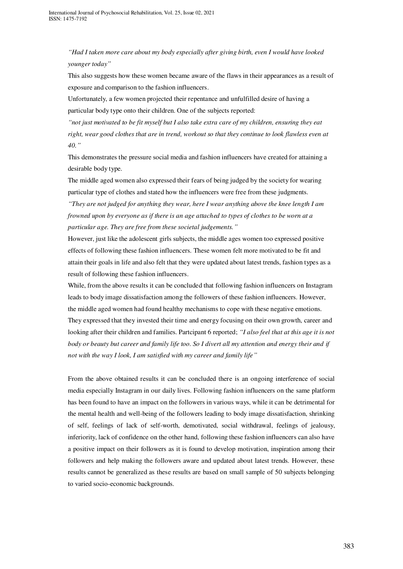*"Had I taken more care about my body especially after giving birth, even I would have looked younger today"*

This also suggests how these women became aware of the flaws in their appearances as a result of exposure and comparison to the fashion influencers.

Unfortunately, a few women projected their repentance and unfulfilled desire of having a particular body type onto their children. One of the subjects reported:

*"not just motivated to be fit myself but I also take extra care of my children, ensuring they eat right, wear good clothes that are in trend, workout so that they continue to look flawless even at 40."*

This demonstrates the pressure social media and fashion influencers have created for attaining a desirable body type.

The middle aged women also expressed their fears of being judged by the society for wearing particular type of clothes and stated how the influencers were free from these judgments.

*"They are not judged for anything they wear, here I wear anything above the knee length I am frowned upon by everyone as if there is an age attached to types of clothes to be worn at a particular age. They are free from these societal judgements."*

However, just like the adolescent girls subjects, the middle ages women too expressed positive effects of following these fashion influencers. These women felt more motivated to be fit and attain their goals in life and also felt that they were updated about latest trends, fashion types as a result of following these fashion influencers.

While, from the above results it can be concluded that following fashion influencers on Instagram leads to body image dissatisfaction among the followers of these fashion influencers. However, the middle aged women had found healthy mechanisms to cope with these negative emotions. They expressed that they invested their time and energy focusing on their own growth, career and looking after their children and families. Partcipant 6 reported; *"I also feel that at this age it is not body or beauty but career and family life too. So I divert all my attention and energy their and if not with the way I look, I am satisfied with my career and family life"*

From the above obtained results it can be concluded there is an ongoing interference of social media especially Instagram in our daily lives. Following fashion influencers on the same platform has been found to have an impact on the followers in various ways, while it can be detrimental for the mental health and well-being of the followers leading to body image dissatisfaction, shrinking of self, feelings of lack of self-worth, demotivated, social withdrawal, feelings of jealousy, inferiority, lack of confidence on the other hand, following these fashion influencers can also have a positive impact on their followers as it is found to develop motivation, inspiration among their followers and help making the followers aware and updated about latest trends. However, these results cannot be generalized as these results are based on small sample of 50 subjects belonging to varied socio-economic backgrounds.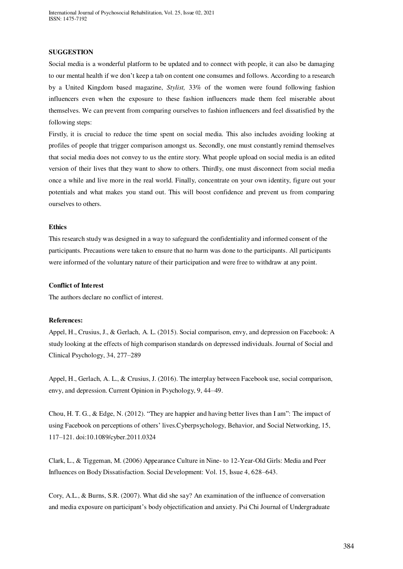International Journal of Psychosocial Rehabilitation, Vol. 25, Issue 02, 2021 ISSN: 1475-7192

#### **SUGGESTION**

Social media is a wonderful platform to be updated and to connect with people, it can also be damaging to our mental health if we don't keep a tab on content one consumes and follows. According to a research by a United Kingdom based magazine, *Stylist,* 33% of the women were found following fashion influencers even when the exposure to these fashion influencers made them feel miserable about themselves. We can prevent from comparing ourselves to fashion influencers and feel dissatisfied by the following steps:

Firstly, it is crucial to reduce the time spent on social media. This also includes avoiding looking at profiles of people that trigger comparison amongst us. Secondly, one must constantly remind themselves that social media does not convey to us the entire story. What people upload on social media is an edited version of their lives that they want to show to others. Thirdly, one must disconnect from social media once a while and live more in the real world. Finally, concentrate on your own identity, figure out your potentials and what makes you stand out. This will boost confidence and prevent us from comparing ourselves to others.

#### **Ethics**

This research study was designed in a way to safeguard the confidentiality and informed consent of the participants. Precautions were taken to ensure that no harm was done to the participants. All participants were informed of the voluntary nature of their participation and were free to withdraw at any point.

# **Conflict of Interest**

The authors declare no conflict of interest.

#### **References:**

Appel, H., Crusius, J., & Gerlach, A. L. (2015). Social comparison, envy, and depression on Facebook: A study looking at the effects of high comparison standards on depressed individuals. Journal of Social and Clinical Psychology, 34, 277–289

Appel, H., Gerlach, A. L., & Crusius, J. (2016). The interplay between Facebook use, social comparison, envy, and depression. Current Opinion in Psychology, 9, 44–49.

Chou, H. T. G., & Edge, N. (2012). "They are happier and having better lives than I am": The impact of using Facebook on perceptions of others' lives.Cyberpsychology, Behavior, and Social Networking, 15, 117–121. doi:10.1089/cyber.2011.0324

Clark, L., & Tiggeman, M. (2006) Appearance Culture in Nine- to 12-Year-Old Girls: Media and Peer Influences on Body Dissatisfaction. Social Development: Vol. 15, Issue 4, 628–643.

Cory, A.L., & Burns, S.R. (2007). What did she say? An examination of the influence of conversation and media exposure on participant's body objectification and anxiety. Psi Chi Journal of Undergraduate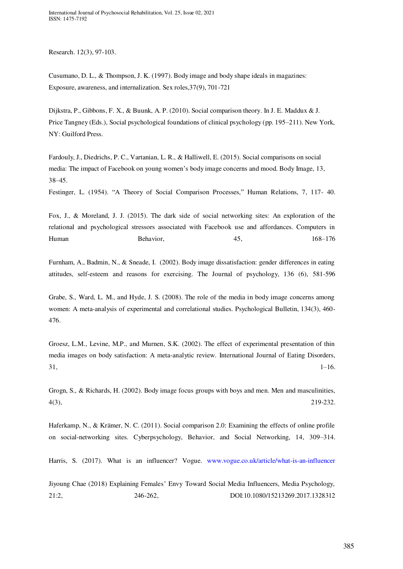Research. 12(3), 97-103.

Cusumano, D. L., & Thompson, J. K. (1997). Body image and body shape ideals in magazines: Exposure, awareness, and internalization. Sex roles,37(9), 701-721

Dijkstra, P., Gibbons, F. X., & Buunk, A. P. (2010). Social comparison theory. In J. E. Maddux & J. Price Tangney (Eds.), Social psychological foundations of clinical psychology (pp. 195–211). New York, NY: Guilford Press.

Fardouly, J., Diedrichs, P. C., Vartanian, L. R., & Halliwell, E. (2015). Social comparisons on social media: The impact of Facebook on young women's body image concerns and mood. Body Image, 13, 38–45.

Festinger, L. (1954). "A Theory of Social Comparison Processes," Human Relations, 7, 117- 40.

Fox, J., & Moreland, J. J. (2015). The dark side of social networking sites: An exploration of the relational and psychological stressors associated with Facebook use and affordances. Computers in Human Behavior, 2008 Behavior, 2008 Behavior, 2008 Behavior, 2008 Behavior, 2008 Behavior, 2008 Behavior, 2008

Furnham, A., Badmin, N., & Sneade, I. (2002). Body image dissatisfaction: gender differences in eating attitudes, self-esteem and reasons for exercising. The Journal of psychology, 136 (6), 581-596

Grabe, S., Ward, L. M., and Hyde, J. S. (2008). The role of the media in body image concerns among women: A meta-analysis of experimental and correlational studies. Psychological Bulletin, 134(3), 460- 476.

Groesz, L.M., Levine, M.P., and Murnen, S.K. (2002). The effect of experimental presentation of thin media images on body satisfaction: A meta-analytic review. International Journal of Eating Disorders,  $31,$  1–16.

Grogn, S., & Richards, H. (2002). Body image focus groups with boys and men. Men and masculinities,  $4(3)$ , 219-232.

Haferkamp, N., & Krämer, N. C. (2011). Social comparison 2.0: Examining the effects of online profile on social-networking sites. Cyberpsychology, Behavior, and Social Networking, 14, 309–314.

Harris, S. (2017). What is an influencer? Vogue. [www.vogue.co.uk/article/what-is-an-influencer](http://www.vogue.co.uk/article/what-is-an-influencer)

Jiyoung Chae (2018) Explaining Females' Envy Toward Social Media Influencers, Media Psychology, 21:2, 246-262, DOI:10.1080/15213269.2017.1328312